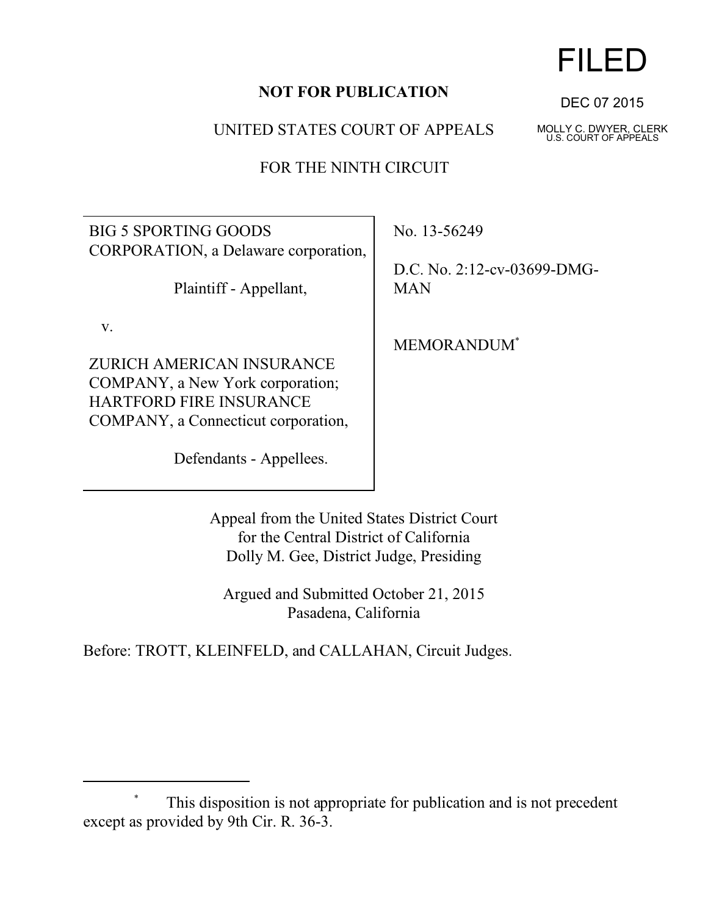## **NOT FOR PUBLICATION**

UNITED STATES COURT OF APPEALS

FOR THE NINTH CIRCUIT

BIG 5 SPORTING GOODS CORPORATION, a Delaware corporation,

Plaintiff - Appellant,

v.

ZURICH AMERICAN INSURANCE COMPANY, a New York corporation; HARTFORD FIRE INSURANCE COMPANY, a Connecticut corporation,

Defendants - Appellees.

No. 13-56249

D.C. No. 2:12-cv-03699-DMG-MAN

MEMORANDUM\*

Appeal from the United States District Court for the Central District of California Dolly M. Gee, District Judge, Presiding

Argued and Submitted October 21, 2015 Pasadena, California

Before: TROTT, KLEINFELD, and CALLAHAN, Circuit Judges.



DEC 07 2015

MOLLY C. DWYER, CLERK U.S. COURT OF APPEALS

This disposition is not appropriate for publication and is not precedent except as provided by 9th Cir. R. 36-3.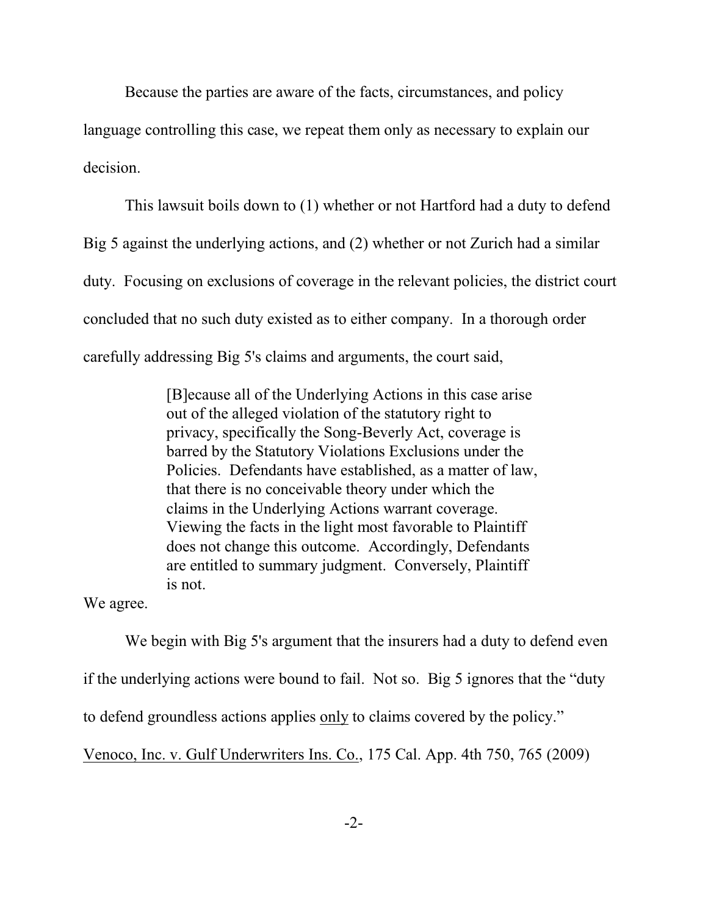Because the parties are aware of the facts, circumstances, and policy language controlling this case, we repeat them only as necessary to explain our

decision.

This lawsuit boils down to (1) whether or not Hartford had a duty to defend Big 5 against the underlying actions, and (2) whether or not Zurich had a similar duty. Focusing on exclusions of coverage in the relevant policies, the district court concluded that no such duty existed as to either company. In a thorough order carefully addressing Big 5's claims and arguments, the court said,

> [B]ecause all of the Underlying Actions in this case arise out of the alleged violation of the statutory right to privacy, specifically the Song-Beverly Act, coverage is barred by the Statutory Violations Exclusions under the Policies. Defendants have established, as a matter of law, that there is no conceivable theory under which the claims in the Underlying Actions warrant coverage. Viewing the facts in the light most favorable to Plaintiff does not change this outcome. Accordingly, Defendants are entitled to summary judgment. Conversely, Plaintiff is not.

We agree.

We begin with Big 5's argument that the insurers had a duty to defend even if the underlying actions were bound to fail. Not so. Big 5 ignores that the "duty to defend groundless actions applies only to claims covered by the policy." Venoco, Inc. v. Gulf Underwriters Ins. Co., 175 Cal. App. 4th 750, 765 (2009)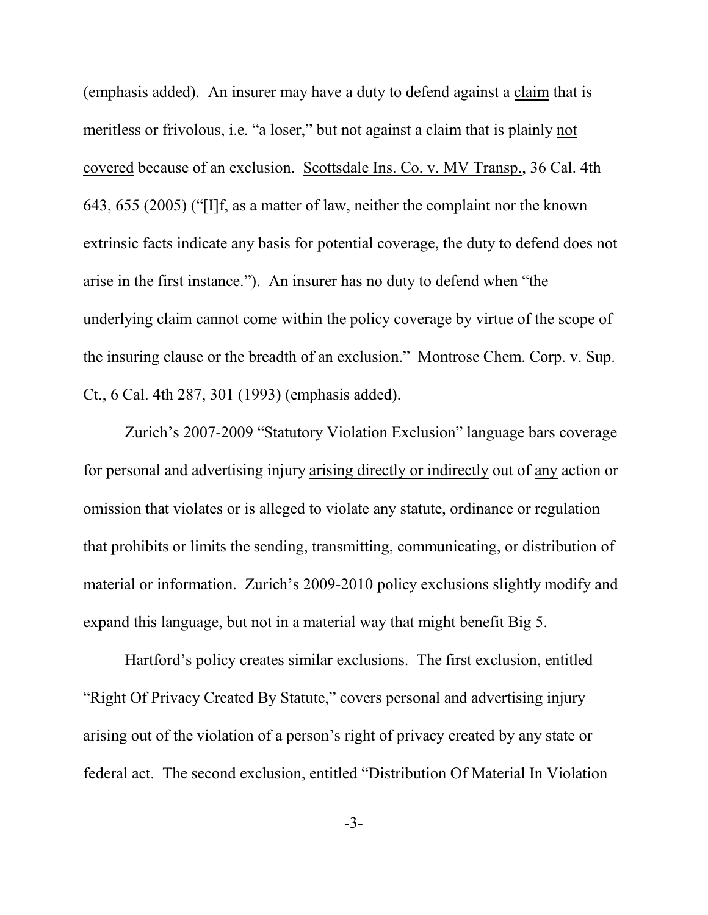(emphasis added). An insurer may have a duty to defend against a claim that is meritless or frivolous, i.e. "a loser," but not against a claim that is plainly not covered because of an exclusion. Scottsdale Ins. Co. v. MV Transp., 36 Cal. 4th 643, 655 (2005) ("[I]f, as a matter of law, neither the complaint nor the known extrinsic facts indicate any basis for potential coverage, the duty to defend does not arise in the first instance."). An insurer has no duty to defend when "the underlying claim cannot come within the policy coverage by virtue of the scope of the insuring clause or the breadth of an exclusion." Montrose Chem. Corp. v. Sup. Ct., 6 Cal. 4th 287, 301 (1993) (emphasis added).

Zurich's 2007-2009 "Statutory Violation Exclusion" language bars coverage for personal and advertising injury arising directly or indirectly out of any action or omission that violates or is alleged to violate any statute, ordinance or regulation that prohibits or limits the sending, transmitting, communicating, or distribution of material or information. Zurich's 2009-2010 policy exclusions slightly modify and expand this language, but not in a material way that might benefit Big 5.

Hartford's policy creates similar exclusions. The first exclusion, entitled "Right Of Privacy Created By Statute," covers personal and advertising injury arising out of the violation of a person's right of privacy created by any state or federal act. The second exclusion, entitled "Distribution Of Material In Violation

-3-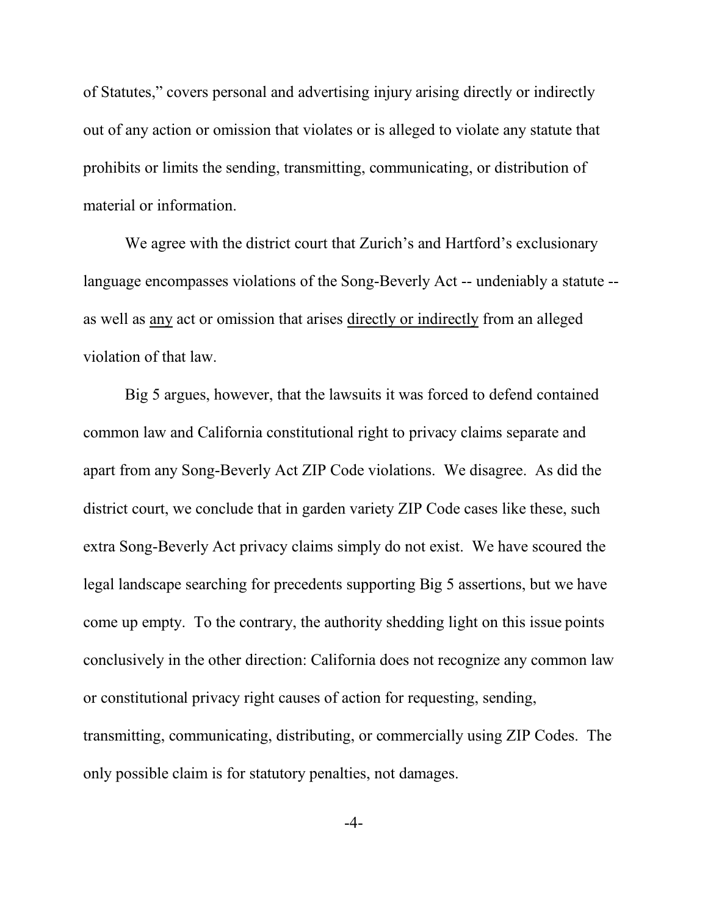of Statutes," covers personal and advertising injury arising directly or indirectly out of any action or omission that violates or is alleged to violate any statute that prohibits or limits the sending, transmitting, communicating, or distribution of material or information.

We agree with the district court that Zurich's and Hartford's exclusionary language encompasses violations of the Song-Beverly Act -- undeniably a statute - as well as any act or omission that arises directly or indirectly from an alleged violation of that law.

Big 5 argues, however, that the lawsuits it was forced to defend contained common law and California constitutional right to privacy claims separate and apart from any Song-Beverly Act ZIP Code violations. We disagree. As did the district court, we conclude that in garden variety ZIP Code cases like these, such extra Song-Beverly Act privacy claims simply do not exist. We have scoured the legal landscape searching for precedents supporting Big 5 assertions, but we have come up empty. To the contrary, the authority shedding light on this issue points conclusively in the other direction: California does not recognize any common law or constitutional privacy right causes of action for requesting, sending, transmitting, communicating, distributing, or commercially using ZIP Codes. The only possible claim is for statutory penalties, not damages.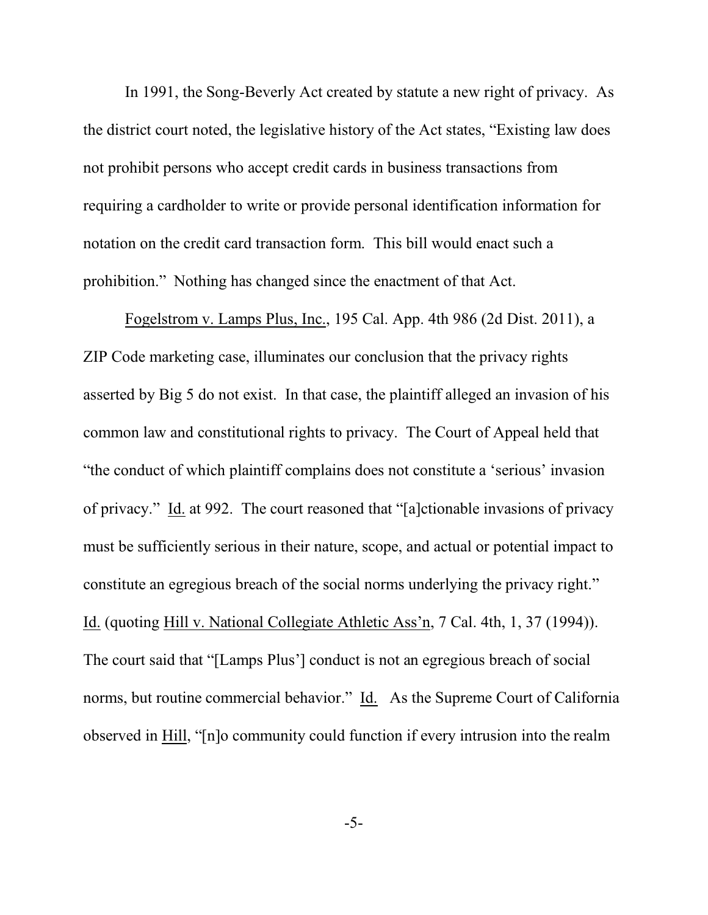In 1991, the Song-Beverly Act created by statute a new right of privacy. As the district court noted, the legislative history of the Act states, "Existing law does not prohibit persons who accept credit cards in business transactions from requiring a cardholder to write or provide personal identification information for notation on the credit card transaction form. This bill would enact such a prohibition." Nothing has changed since the enactment of that Act.

Fogelstrom v. Lamps Plus, Inc., 195 Cal. App. 4th 986 (2d Dist. 2011), a ZIP Code marketing case, illuminates our conclusion that the privacy rights asserted by Big 5 do not exist. In that case, the plaintiff alleged an invasion of his common law and constitutional rights to privacy. The Court of Appeal held that "the conduct of which plaintiff complains does not constitute a 'serious' invasion of privacy." Id. at 992. The court reasoned that "[a]ctionable invasions of privacy must be sufficiently serious in their nature, scope, and actual or potential impact to constitute an egregious breach of the social norms underlying the privacy right." Id. (quoting Hill v. National Collegiate Athletic Ass'n, 7 Cal. 4th, 1, 37 (1994)). The court said that "[Lamps Plus'] conduct is not an egregious breach of social norms, but routine commercial behavior." Id. As the Supreme Court of California observed in Hill, "[n]o community could function if every intrusion into the realm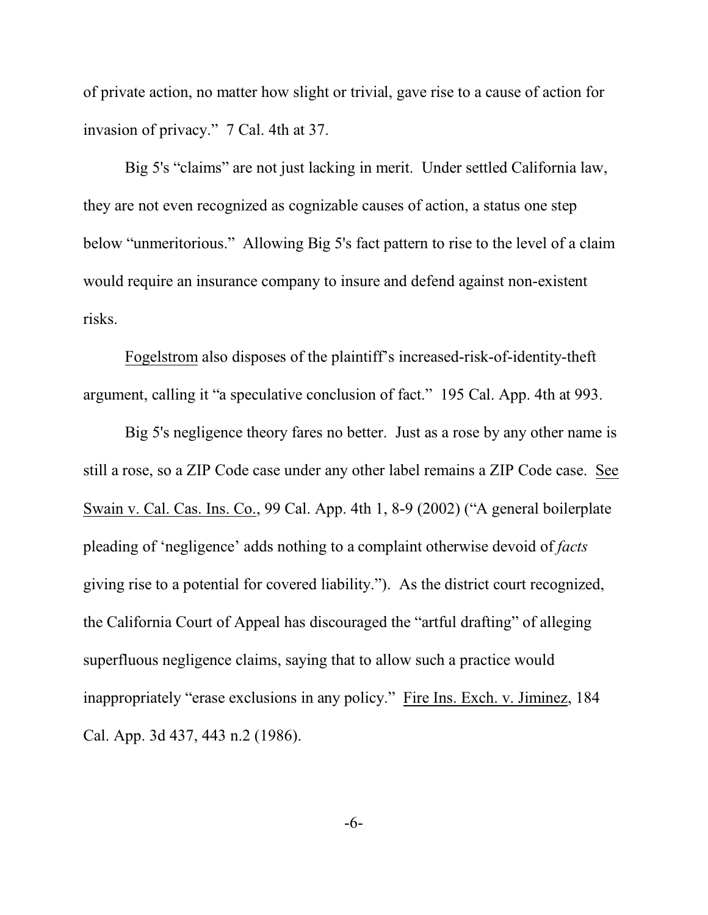of private action, no matter how slight or trivial, gave rise to a cause of action for invasion of privacy." 7 Cal. 4th at 37.

Big 5's "claims" are not just lacking in merit. Under settled California law, they are not even recognized as cognizable causes of action, a status one step below "unmeritorious." Allowing Big 5's fact pattern to rise to the level of a claim would require an insurance company to insure and defend against non-existent risks.

Fogelstrom also disposes of the plaintiff's increased-risk-of-identity-theft argument, calling it "a speculative conclusion of fact." 195 Cal. App. 4th at 993.

Big 5's negligence theory fares no better. Just as a rose by any other name is still a rose, so a ZIP Code case under any other label remains a ZIP Code case. See Swain v. Cal. Cas. Ins. Co., 99 Cal. App. 4th 1, 8-9 (2002) ("A general boilerplate pleading of 'negligence' adds nothing to a complaint otherwise devoid of *facts* giving rise to a potential for covered liability."). As the district court recognized, the California Court of Appeal has discouraged the "artful drafting" of alleging superfluous negligence claims, saying that to allow such a practice would inappropriately "erase exclusions in any policy." Fire Ins. Exch. v. Jiminez, 184 Cal. App. 3d 437, 443 n.2 (1986).